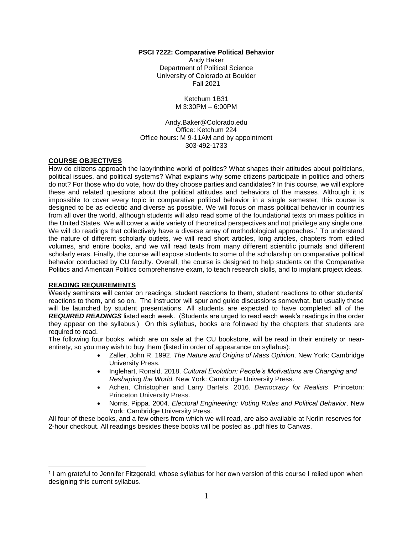#### **PSCI 7222: Comparative Political Behavior**

Andy Baker Department of Political Science University of Colorado at Boulder Fall 2021

> Ketchum 1B31 M 3:30PM – 6:00PM

Andy.Baker@Colorado.edu Office: Ketchum 224 Office hours: M 9-11AM and by appointment 303-492-1733

#### **COURSE OBJECTIVES**

How do citizens approach the labyrinthine world of politics? What shapes their attitudes about politicians, political issues, and political systems? What explains why some citizens participate in politics and others do not? For those who do vote, how do they choose parties and candidates? In this course, we will explore these and related questions about the political attitudes and behaviors of the masses. Although it is impossible to cover every topic in comparative political behavior in a single semester, this course is designed to be as eclectic and diverse as possible. We will focus on mass political behavior in countries from all over the world, although students will also read some of the foundational texts on mass politics in the United States. We will cover a wide variety of theoretical perspectives and not privilege any single one. We will do readings that collectively have a diverse array of methodological approaches.<sup>1</sup> To understand the nature of different scholarly outlets, we will read short articles, long articles, chapters from edited volumes, and entire books, and we will read texts from many different scientific journals and different scholarly eras. Finally, the course will expose students to some of the scholarship on comparative political behavior conducted by CU faculty. Overall, the course is designed to help students on the Comparative Politics and American Politics comprehensive exam, to teach research skills, and to implant project ideas.

#### **READING REQUIREMENTS**

 $\overline{a}$ 

Weekly seminars will center on readings, student reactions to them, student reactions to other students' reactions to them, and so on. The instructor will spur and guide discussions somewhat, but usually these will be launched by student presentations. All students are expected to have completed all of the *REQUIRED READINGS* listed each week. (Students are urged to read each week's readings in the order they appear on the syllabus.) On this syllabus, books are followed by the chapters that students are required to read.

The following four books, which are on sale at the CU bookstore, will be read in their entirety or nearentirety, so you may wish to buy them (listed in order of appearance on syllabus):

- Zaller, John R. 1992. *The Nature and Origins of Mass Opinion*. New York: Cambridge University Press.
- Inglehart, Ronald. 2018. *Cultural Evolution: People's Motivations are Changing and Reshaping the World.* New York: Cambridge University Press.
- Achen, Christopher and Larry Bartels. 2016. *Democracy for Realists*. Princeton: Princeton University Press.
- Norris, Pippa. 2004. *Electoral Engineering: Voting Rules and Political Behavior*. New York: Cambridge University Press.

All four of these books, and a few others from which we will read, are also available at Norlin reserves for 2-hour checkout. All readings besides these books will be posted as .pdf files to Canvas.

<sup>1</sup> I am grateful to Jennifer Fitzgerald, whose syllabus for her own version of this course I relied upon when designing this current syllabus.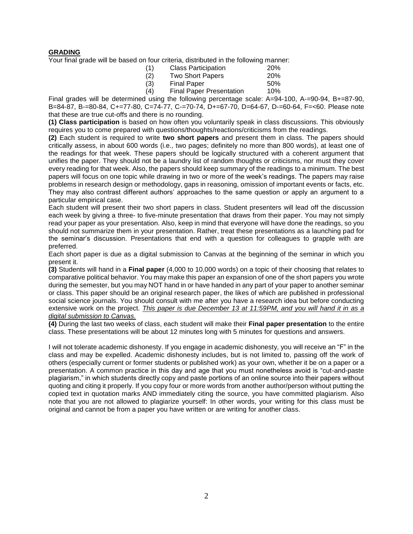## **GRADING**

Your final grade will be based on four criteria, distributed in the following manner:

| (1) | <b>Class Participation</b>      | 20% |
|-----|---------------------------------|-----|
| (2) | <b>Two Short Papers</b>         | 20% |
| (3) | <b>Final Paper</b>              | 50% |
| (4) | <b>Final Paper Presentation</b> | 10% |

Final grades will be determined using the following percentage scale: A=94-100, A-=90-94, B+=87-90, B=84-87, B-=80-84, C+=77-80, C=74-77, C-=70-74, D+=67-70, D=64-67, D-=60-64, F=<60. Please note that these are true cut-offs and there is no rounding.

**(1) Class participation** is based on how often you voluntarily speak in class discussions. This obviously requires you to come prepared with questions/thoughts/reactions/criticisms from the readings.

**(2)** Each student is required to write **two short papers** and present them in class. The papers should critically assess, in about 600 words (i.e., two pages; definitely no more than 800 words), at least one of the readings for that week. These papers should be logically structured with a coherent argument that unifies the paper. They should not be a laundry list of random thoughts or criticisms, nor must they cover every reading for that week. Also, the papers should keep summary of the readings to a minimum. The best papers will focus on one topic while drawing in two or more of the week's readings. The papers may raise problems in research design or methodology, gaps in reasoning, omission of important events or facts, etc. They may also contrast different authors' approaches to the same question or apply an argument to a particular empirical case.

Each student will present their two short papers in class. Student presenters will lead off the discussion each week by giving a three- to five-minute presentation that draws from their paper. You may not simply read your paper as your presentation. Also, keep in mind that everyone will have done the readings, so you should not summarize them in your presentation. Rather, treat these presentations as a launching pad for the seminar's discussion. Presentations that end with a question for colleagues to grapple with are preferred.

Each short paper is due as a digital submission to Canvas at the beginning of the seminar in which you present it.

**(3)** Students will hand in a **Final paper** (4,000 to 10,000 words) on a topic of their choosing that relates to comparative political behavior. You may make this paper an expansion of one of the short papers you wrote during the semester, but you may NOT hand in or have handed in any part of your paper to another seminar or class. This paper should be an original research paper, the likes of which are published in professional social science journals. You should consult with me after you have a research idea but before conducting extensive work on the project. *This paper is due December 13 at 11:59PM, and you will hand it in as a digital submission to Canvas.*

**(4)** During the last two weeks of class, each student will make their **Final paper presentation** to the entire class. These presentations will be about 12 minutes long with 5 minutes for questions and answers.

I will not tolerate academic dishonesty. If you engage in academic dishonesty, you will receive an "F" in the class and may be expelled. Academic dishonesty includes, but is not limited to, passing off the work of others (especially current or former students or published work) as your own, whether it be on a paper or a presentation. A common practice in this day and age that you must nonetheless avoid is "cut-and-paste plagiarism," in which students directly copy and paste portions of an online source into their papers without quoting and citing it properly. If you copy four or more words from another author/person without putting the copied text in quotation marks AND immediately citing the source, you have committed plagiarism. Also note that you are not allowed to plagiarize yourself: In other words, your writing for this class must be original and cannot be from a paper you have written or are writing for another class.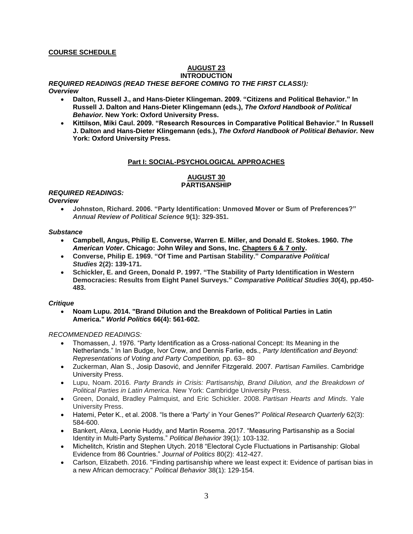## **COURSE SCHEDULE**

# **AUGUST 23**

## **INTRODUCTION**

*REQUIRED READINGS (READ THESE BEFORE COMING TO THE FIRST CLASS!): Overview*

- - **Dalton, Russell J., and Hans-Dieter Klingeman. 2009. "Citizens and Political Behavior." In Russell J. Dalton and Hans-Dieter Klingemann (eds.),** *The Oxford Handbook of Political Behavior.* **New York: Oxford University Press.**
	- **Kittilson, Miki Caul. 2009. "Research Resources in Comparative Political Behavior." In Russell J. Dalton and Hans-Dieter Klingemann (eds.),** *The Oxford Handbook of Political Behavior.* **New York: Oxford University Press.**

# **Part I: SOCIAL-PSYCHOLOGICAL APPROACHES**

# **AUGUST 30 PARTISANSHIP**

# *REQUIRED READINGS:*

*Overview*

 **Johnston, Richard. 2006. "Party Identification: Unmoved Mover or Sum of Preferences?"**  *Annual Review of Political Science* **9(1): 329-351.**

#### *Substance*

- **Campbell, Angus, Philip E. Converse, Warren E. Miller, and Donald E. Stokes. 1960.** *The American Voter***. Chicago: John Wiley and Sons, Inc. Chapters 6 & 7 only.**
- **Converse, Philip E. 1969. "Of Time and Partisan Stability."** *Comparative Political Studies* **2(2): 139-171.**
- **Schickler, E. and Green, Donald P. 1997. "The Stability of Party Identification in Western Democracies: Results from Eight Panel Surveys."** *Comparative Political Studies 30***(4), pp.450- 483.**

#### *Critique*

 **Noam Lupu. 2014. "Brand Dilution and the Breakdown of Political Parties in Latin America."** *World Politics* **66(4): 561-602.**

- Thomassen, J. 1976. "Party Identification as a Cross-national Concept: Its Meaning in the Netherlands." In Ian Budge, Ivor Crew, and Dennis Farlie, eds., *Party Identification and Beyond: Representations of Voting and Party Competition,* pp. 63– 80
- Zuckerman, Alan S., Josip Dasović, and Jennifer Fitzgerald. 2007. *Partisan Families*. Cambridge University Press.
- Lupu, Noam. 2016. *Party Brands in Crisis: Partisanship, Brand Dilution, and the Breakdown of Political Parties in Latin America*. New York: Cambridge University Press.
- Green, Donald, Bradley Palmquist, and Eric Schickler. 2008. *Partisan Hearts and Minds*. Yale University Press.
- Hatemi, Peter K., et al. 2008. "Is there a 'Party' in Your Genes?" *Political Research Quarterly* 62(3): 584-600.
- Bankert, Alexa, Leonie Huddy, and Martin Rosema. 2017. "Measuring Partisanship as a Social Identity in Multi-Party Systems." *Political Behavior* 39(1): 103-132.
- Michelitch, Kristin and Stephen Utych. 2018 "Electoral Cycle Fluctuations in Partisanship: Global Evidence from 86 Countries." *Journal of Politics* 80(2): 412-427.
- Carlson, Elizabeth. 2016. "Finding partisanship where we least expect it: Evidence of partisan bias in a new African democracy." *Political Behavior* 38(1): 129-154.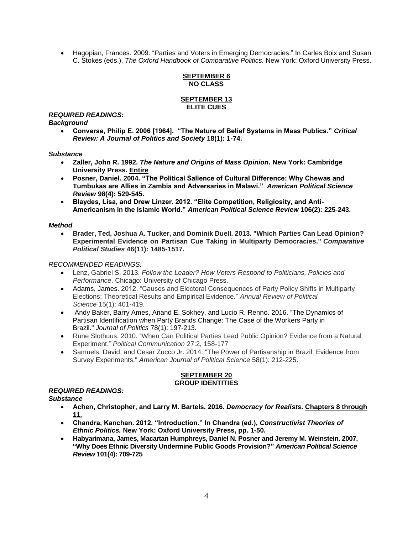Hagopian, Frances. 2009. "Parties and Voters in Emerging Democracies." In Carles Boix and Susan C. Stokes (eds.), *The Oxford Handbook of Comparative Politics.* New York: Oxford University Press.

#### **SEPTEMBER 6 NO CLASS**

#### **SEPTEMBER 13 ELITE CUES**

#### *REQUIRED READINGS: Background*

 **Converse, Philip E. 2006 [1964]. "The Nature of Belief Systems in Mass Publics."** *Critical Review: A Journal of Politics and Society* **18(1): 1-74.**

## *Substance*

- **Zaller, John R. 1992.** *The Nature and Origins of Mass Opinion***. New York: Cambridge University Press. Entire**
- **Posner, Daniel. 2004. ["The Political Salience of Cultural Difference: Why Chewas and](http://danielnposner.com/wp-content/uploads/2015/11/Posner-2004b.pdf)  [Tumbukas are Allies in Zambia and Adversaries in Malawi."](http://danielnposner.com/wp-content/uploads/2015/11/Posner-2004b.pdf)** *American Political Science Review* **98(4): 529-545.**
- **Blaydes, Lisa, and Drew Linzer. 2012. "Elite Competition, Religiosity, and Anti-Americanism in the Islamic World."** *American Political Science Review* **106(2): 225-243.**

## *Method*

 **Brader, Ted, Joshua A. Tucker, and Dominik Duell. 2013. "Which Parties Can Lead Opinion? Experimental Evidence on Partisan Cue Taking in Multiparty Democracies."** *Comparative Political Studies* **46(11): 1485-1517.**

# *RECOMMENDED READINGS:*

- Lenz, Gabriel S. 2013. *Follow the Leader? How Voters Respond to Politicians, Policies and Performance*. Chicago: University of Chicago Press.
- Adams, James. 2012. "Causes and Electoral Consequences of Party Policy Shifts in Multiparty Elections: Theoretical Results and Empirical Evidence." *Annual Review of Political Science* 15(1): 401-419.
- Andy Baker, Barry Ames, Anand E. Sokhey, and Lucio R. Renno. 2016. "The Dynamics of Partisan Identification when Party Brands Change: The Case of the Workers Party in Brazil." *Journal of Politics* 78(1): 197-213.
- Rune Slothuus. 2010. "When Can Political Parties Lead Public Opinion? Evidence from a Natural Experiment." *Political Communication* 27:2, 158-177
- Samuels, David, and Cesar Zucco Jr. 2014. "The Power of Partisanship in Brazil: Evidence from Survey Experiments." *American Journal of Political Science* 58(1): 212-225.

#### **SEPTEMBER 20 GROUP IDENTITIES**

#### *REQUIRED READINGS: Substance*

- **Achen, Christopher, and Larry M. Bartels. 2016.** *Democracy for Realists***. Chapters 8 through 11.**
- **Chandra, Kanchan. 2012. "Introduction." In Chandra (ed.),** *Constructivist Theories of Ethnic Politics.* **New York: Oxford University Press, pp. 1-50.**
- **Habyarimana, James, Macartan Humphreys, Daniel N. Posner and Jeremy M. Weinstein. 2007. "Why Does Ethnic Diversity Undermine Public Goods Provision?"** *American Political Science Review* **101(4): 709-725**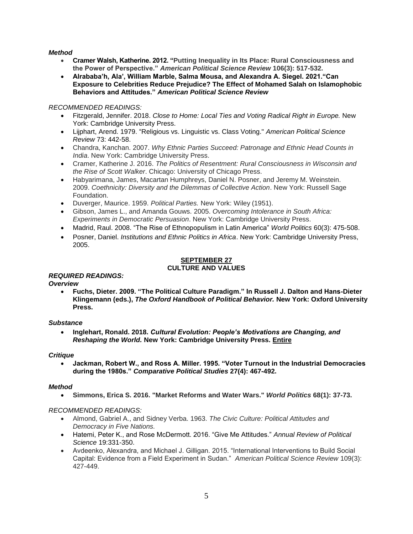# *Method*

- **Cramer Walsh, Katherine. 2012. "Putting Inequality in Its Place: Rural Consciousness and the Power of Perspective."** *American Political Science Review* **106(3): 517-532.**
- **Alrababa'h, Ala', William Marble, Salma Mousa, and Alexandra A. Siegel. 2021."Can Exposure to Celebrities Reduce Prejudice? The Effect of Mohamed Salah on Islamophobic Behaviors and Attitudes."** *American Political Science Review*

# *RECOMMENDED READINGS:*

- Fitzgerald, Jennifer. 2018. *Close to Home: Local Ties and Voting Radical Right in Europe.* New York: Cambridge University Press.
- Lijphart, Arend. 1979. "Religious vs. Linguistic vs. Class Voting." *American Political Science Review* 73: 442-58.
- Chandra, Kanchan. 2007. *Why Ethnic Parties Succeed: Patronage and Ethnic Head Counts in India*. New York: Cambridge University Press.
- Cramer, Katherine J. 2016. *The Politics of Resentment: Rural Consciousness in Wisconsin and the Rise of Scott Walker*. Chicago: University of Chicago Press.
- Habyarimana, James, Macartan Humphreys, Daniel N. Posner, and Jeremy M. Weinstein. 2009. *Coethnicity: Diversity and the Dilemmas of Collective Action*. New York: Russell Sage Foundation.
- Duverger, Maurice. 1959. *Political Parties.* New York: Wiley (1951).
- Gibson, James L., and Amanda Gouws. 2005. *Overcoming Intolerance in South Africa: Experiments in Democratic Persuasion*. New York: Cambridge University Press.
- Madrid, Raul. 2008. "The Rise of Ethnopopulism in Latin America" *World Politics* 60(3): 475-508.
- Posner, Daniel. *Institutions and Ethnic Politics in Africa*. New York: Cambridge University Press, 2005.

#### **SEPTEMBER 27 CULTURE AND VALUES**

# *REQUIRED READINGS:*

*Overview*

 **Fuchs, Dieter. 2009. "The Political Culture Paradigm." In Russell J. Dalton and Hans-Dieter Klingemann (eds.),** *The Oxford Handbook of Political Behavior.* **New York: Oxford University Press.**

#### *Substance*

 **Inglehart, Ronald. 2018.** *Cultural Evolution: People's Motivations are Changing, and Reshaping the World.* **New York: Cambridge University Press. Entire**

# *Critique*

 **Jackman, Robert W., and Ross A. Miller. 1995. "Voter Turnout in the Industrial Democracies during the 1980s."** *Comparative Political Studies* **27(4): 467-492.**

# *Method*

**Simmons, Erica S. 2016. "Market Reforms and Water Wars."** *World Politics* **68(1): 37-73.**

- Almond, Gabriel A., and Sidney Verba. 1963. *The Civic Culture: Political Attitudes and Democracy in Five Nations.*
- Hatemi, Peter K., and Rose McDermott. 2016. "Give Me Attitudes." *Annual Review of Political Science* 19:331-350.
- Avdeenko, Alexandra, and Michael J. Gilligan. 2015. "International Interventions to Build Social Capital: Evidence from a Field Experiment in Sudan." *American Political Science Review* 109(3): 427-449.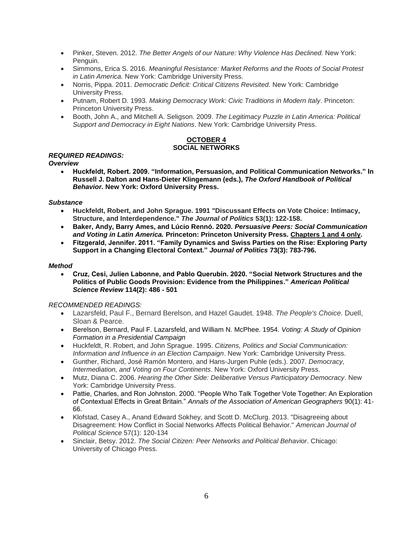- Pinker, Steven. 2012. *The Better Angels of our Nature: Why Violence Has Declined.* New York: Penguin.
- Simmons, Erica S. 2016. *Meaningful Resistance: Market Reforms and the Roots of Social Protest in Latin America.* New York: Cambridge University Press.
- Norris, Pippa. 2011. *Democratic Deficit: Critical Citizens Revisited.* New York: Cambridge University Press.
- Putnam, Robert D. 1993. *Making Democracy Work: Civic Traditions in Modern Italy*. Princeton: Princeton University Press.
- Booth, John A., and Mitchell A. Seligson. 2009. *The Legitimacy Puzzle in Latin America: Political Support and Democracy in Eight Nations*. New York: Cambridge University Press.

#### **OCTOBER 4 SOCIAL NETWORKS**

# *REQUIRED READINGS:*

*Overview*

 **Huckfeldt, Robert. 2009. "Information, Persuasion, and Political Communication Networks." In Russell J. Dalton and Hans-Dieter Klingemann (eds.),** *The Oxford Handbook of Political Behavior.* **New York: Oxford University Press.**

## *Substance*

- **Huckfeldt, Robert, and John Sprague. 1991 "Discussant Effects on Vote Choice: Intimacy, Structure, and Interdependence."** *The Journal of Politics* **53(1): 122-158.**
- **Baker, Andy, Barry Ames, and Lúcio Rennó. 2020.** *Persuasive Peers: Social Communication and Voting in Latin America.* **Princeton: Princeton University Press. Chapters 1 and 4 only.**
- **Fitzgerald, Jennifer. 2011. "Family Dynamics and Swiss Parties on the Rise: Exploring Party Support in a Changing Electoral Context."** *Journal of Politics* **73(3): 783-796.**

## *Method*

 **Cruz, Cesi, Julien Labonne, and Pablo Querubín. 2020. "Social Network Structures and the Politics of Public Goods Provision: Evidence from the Philippines."** *American Political Science Review* **114(2): 486 - 501**

- Lazarsfeld, Paul F., Bernard Berelson, and Hazel Gaudet. 1948. *The People's Choice.* Duell, Sloan & Pearce.
- Berelson, Bernard, Paul F. Lazarsfeld, and William N. McPhee. 1954. *Voting: A Study of Opinion Formation in a Presidential Campaign*
- Huckfeldt, R. Robert, and John Sprague. 1995. *Citizens, Politics and Social Communication: Information and Influence in an Election Campaign*. New York: Cambridge University Press.
- Gunther, Richard, José Ramón Montero, and Hans-Jurgen Puhle (eds.). 2007. *Democracy, Intermediation, and Voting on Four Continents*. New York: Oxford University Press.
- Mutz, Diana C. 2006. *Hearing the Other Side: Deliberative Versus Participatory Democracy*. New York: Cambridge University Press.
- Pattie, Charles, and Ron Johnston. 2000. "People Who Talk Together Vote Together: An Exploration of Contextual Effects in Great Britain." *Annals of the Association of American Geographers* 90(1): 41- 66.
- Klofstad, Casey A., Anand Edward Sokhey, and Scott D. McClurg. 2013. "Disagreeing about Disagreement: How Conflict in Social Networks Affects Political Behavior." *American Journal of Political Science* 57(1): 120-134
- Sinclair, Betsy. 2012. *The Social Citizen: Peer Networks and Political Behavior*. Chicago: University of Chicago Press.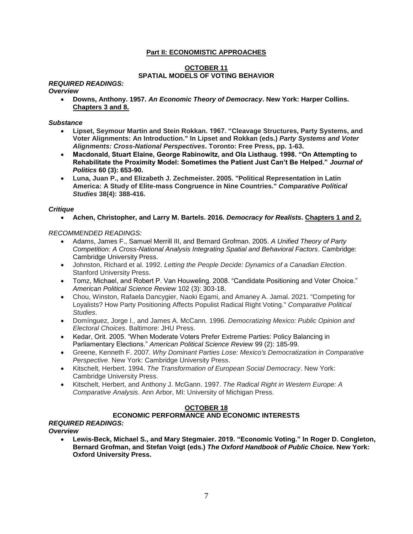# **Part II: ECONOMISTIC APPROACHES**

# **OCTOBER 11 SPATIAL MODELS OF VOTING BEHAVIOR**

# *REQUIRED READINGS:*

#### *Overview*

 **Downs, Anthony. 1957.** *An Economic Theory of Democracy***. New York: Harper Collins. Chapters 3 and 8.**

*Substance*

- **Lipset, Seymour Martin and Stein Rokkan. 1967. "Cleavage Structures, Party Systems, and Voter Alignments: An Introduction." In Lipset and Rokkan (eds.)** *Party Systems and Voter Alignments: Cross-National Perspectives***. Toronto: Free Press, pp. 1-63.**
- **Macdonald, Stuart Elaine, George Rabinowitz, and Ola Listhaug. 1998. "On Attempting to Rehabilitate the Proximity Model: Sometimes the Patient Just Can't Be Helped."** *Journal of Politics* **60 (3): 653-90.**
- **Luna, Juan P., and Elizabeth J. Zechmeister. 2005. "Political Representation in Latin America: A Study of Elite-mass Congruence in Nine Countries."** *Comparative Political Studies* **38(4): 388-416.**

#### *Critique*

**Achen, Christopher, and Larry M. Bartels. 2016.** *Democracy for Realists***. Chapters 1 and 2.**

*RECOMMENDED READINGS:*

- Adams, James F., Samuel Merrill III, and Bernard Grofman. 2005. *A Unified Theory of Party Competition: A Cross-National Analysis Integrating Spatial and Behavioral Factors*. Cambridge: Cambridge University Press.
- Johnston, Richard et al. 1992. *Letting the People Decide: Dynamics of a Canadian Election*. Stanford University Press.
- Tomz, Michael, and Robert P. Van Houweling. 2008. "Candidate Positioning and Voter Choice." *American Political Science Review* 102 (3): 303-18.
- Chou, Winston, Rafaela Dancygier, Naoki Egami, and Amaney A. Jamal. 2021. "Competing for Loyalists? How Party Positioning Affects Populist Radical Right Voting." *Comparative Political Studies*.
- Domínguez, Jorge I., and James A. McCann. 1996. *Democratizing Mexico: Public Opinion and Electoral Choices*. Baltimore: JHU Press.
- Kedar, Orit. 2005. "When Moderate Voters Prefer Extreme Parties: Policy Balancing in Parliamentary Elections." *American Political Science Review* 99 (2): 185-99.
- Greene, Kenneth F. 2007. *Why Dominant Parties Lose: Mexico's Democratization in Comparative Perspective*. New York: Cambridge University Press.
- Kitschelt, Herbert. 1994. *The Transformation of European Social Democracy*. New York: Cambridge University Press.
- Kitschelt, Herbert, and Anthony J. McGann. 1997. *The Radical Right in Western Europe: A Comparative Analysis*. Ann Arbor, MI: University of Michigan Press.

#### **OCTOBER 18**

# **ECONOMIC PERFORMANCE AND ECONOMIC INTERESTS**

# *REQUIRED READINGS:*

*Overview*

 **Lewis-Beck, Michael S., and Mary Stegmaier. 2019. "Economic Voting." In Roger D. Congleton, Bernard Grofman, and Stefan Voigt (eds.)** *The Oxford Handbook of Public Choice.* **New York: Oxford University Press.**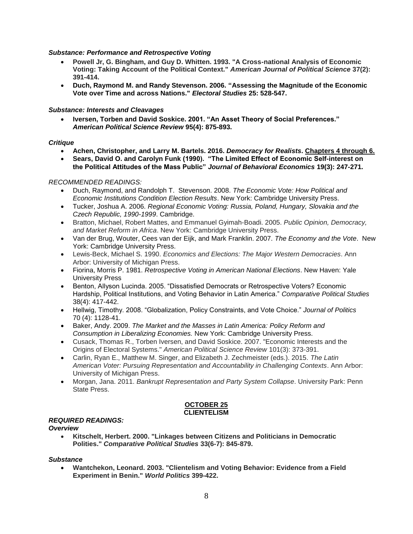#### *Substance: Performance and Retrospective Voting*

- **Powell Jr, G. Bingham, and Guy D. Whitten. 1993. "A Cross-national Analysis of Economic Voting: Taking Account of the Political Context."** *American Journal of Political Science* **37(2): 391-414.**
- **Duch, Raymond M. and Randy Stevenson. 2006. "Assessing the Magnitude of the Economic Vote over Time and across Nations."** *Electoral Studies* **25: 528-547.**

#### *Substance: Interests and Cleavages*

 **Iversen, Torben and David Soskice. 2001. "An Asset Theory of Social Preferences."**  *American Political Science Review* **95(4): 875-893.**

## *Critique*

- **Achen, Christopher, and Larry M. Bartels. 2016.** *Democracy for Realists***. Chapters 4 through 6.**
- **Sears, David O. and Carolyn Funk (1990). "The Limited Effect of Economic Self-interest on the Political Attitudes of the Mass Public"** *Journal of Behavioral Economics* **19(3): 247-271.**

## *RECOMMENDED READINGS:*

- Duch, Raymond, and Randolph T. Stevenson. 2008. *The Economic Vote: How Political and Economic Institutions Condition Election Results*. New York: Cambridge University Press.
- Tucker, Joshua A. 2006. *Regional Economic Voting: Russia, Poland, Hungary, Slovakia and the Czech Republic, 1990-1999*. Cambridge.
- Bratton, Michael, Robert Mattes, and Emmanuel Gyimah-Boadi. 2005. *Public Opinion, Democracy, and Market Reform in Africa*. New York: Cambridge University Press.
- Van der Brug, Wouter, Cees van der Eijk, and Mark Franklin. 2007. *The Economy and the Vote*. New York: Cambridge University Press.
- Lewis-Beck, Michael S. 1990. *Economics and Elections: The Major Western Democracies*. Ann Arbor: University of Michigan Press.
- Fiorina, Morris P. 1981. *Retrospective Voting in American National Elections*. New Haven: Yale University Press
- Benton, Allyson Lucinda. 2005. "Dissatisfied Democrats or Retrospective Voters? Economic Hardship, Political Institutions, and Voting Behavior in Latin America." *Comparative Political Studies* 38(4): 417-442.
- Hellwig, Timothy. 2008. "Globalization, Policy Constraints, and Vote Choice." *Journal of Politics*  70 (4): 1128-41.
- Baker, Andy. 2009. *The Market and the Masses in Latin America: Policy Reform and Consumption in Liberalizing Economies.* New York: Cambridge University Press.
- Cusack, Thomas R., Torben Iversen, and David Soskice. 2007. "Economic Interests and the Origins of Electoral Systems." *American Political Science Review* 101(3): 373-391.
- Carlin, Ryan E., Matthew M. Singer, and Elizabeth J. Zechmeister (eds.). 2015. *The Latin American Voter: Pursuing Representation and Accountability in Challenging Contexts*. Ann Arbor: University of Michigan Press.
- Morgan, Jana. 2011. *Bankrupt Representation and Party System Collapse*. University Park: Penn State Press.

## **OCTOBER 25 CLIENTELISM**

# *REQUIRED READINGS:*

# *Overview*

 **Kitschelt, Herbert. 2000. "Linkages between Citizens and Politicians in Democratic Polities."** *Comparative Political Studies* **33(6-7): 845-879.**

#### *Substance*

 **Wantchekon, Leonard. 2003. "Clientelism and Voting Behavior: Evidence from a Field Experiment in Benin."** *World Politics* **399-422.**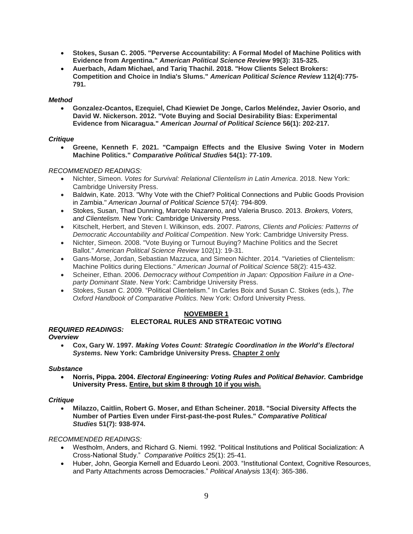- **Stokes, Susan C. 2005. "Perverse Accountability: A Formal Model of Machine Politics with Evidence from Argentina."** *American Political Science Review* **99(3): 315-325.**
- **Auerbach, Adam Michael, and Tariq Thachil. 2018. "How Clients Select Brokers: Competition and Choice in India's Slums."** *American Political Science Review* **112(4):775- 791.**

## *Method*

 **Gonzalez**‐**Ocantos, Ezequiel, Chad Kiewiet De Jonge, Carlos Meléndez, Javier Osorio, and David W. Nickerson. 2012. "Vote Buying and Social Desirability Bias: Experimental Evidence from Nicaragua."** *American Journal of Political Science* **56(1): 202-217.**

## *Critique*

 **Greene, Kenneth F. 2021. "Campaign Effects and the Elusive Swing Voter in Modern Machine Politics."** *Comparative Political Studies* **54(1): 77-109.**

# *RECOMMENDED READINGS:*

- Nichter, Simeon. *Votes for Survival: Relational Clientelism in Latin America*. 2018. New York: Cambridge University Press.
- Baldwin, Kate. 2013. "Why Vote with the Chief? Political Connections and Public Goods Provision in Zambia." *American Journal of Political Science* 57(4): 794-809.
- Stokes, Susan, Thad Dunning, Marcelo Nazareno, and Valeria Brusco. 2013. *Brokers, Voters, and Clientelism.* New York: Cambridge University Press.
- Kitschelt, Herbert, and Steven I. Wilkinson, eds. 2007. *Patrons, Clients and Policies: Patterns of Democratic Accountability and Political Competition*. New York: Cambridge University Press.
- Nichter, Simeon. 2008. "Vote Buying or Turnout Buying? Machine Politics and the Secret Ballot." *American Political Science Review* 102(1): 19-31.
- Gans‐Morse, Jordan, Sebastian Mazzuca, and Simeon Nichter. 2014. "Varieties of Clientelism: Machine Politics during Elections." *American Journal of Political Science* 58(2): 415-432.
- Scheiner, Ethan. 2006. *Democracy without Competition in Japan: Opposition Failure in a Oneparty Dominant State*. New York: Cambridge University Press.
- Stokes, Susan C. 2009. "Political Clientelism." In Carles Boix and Susan C. Stokes (eds.), *The Oxford Handbook of Comparative Politics.* New York: Oxford University Press.

# **NOVEMBER 1 ELECTORAL RULES AND STRATEGIC VOTING**

#### *REQUIRED READINGS:*

# *Overview*

 **Cox, Gary W. 1997.** *Making Votes Count: Strategic Coordination in the World's Electoral Systems.* **New York: Cambridge University Press. Chapter 2 only**

#### *Substance*

 **Norris, Pippa. 2004.** *Electoral Engineering: Voting Rules and Political Behavior.* **Cambridge University Press. Entire, but skim 8 through 10 if you wish.**

#### *Critique*

 **Milazzo, Caitlin, Robert G. Moser, and Ethan Scheiner. 2018. "Social Diversity Affects the Number of Parties Even under First-past-the-post Rules."** *Comparative Political Studies* **51(7): 938-974.**

- Westholm, Anders, and Richard G. Niemi. 1992. "Political Institutions and Political Socialization: A Cross-National Study." *Comparative Politics* 25(1): 25-41.
- Huber, John, Georgia Kernell and Eduardo Leoni. 2003. "Institutional Context, Cognitive Resources, and Party Attachments across Democracies." *Political Analysis* 13(4): 365-386.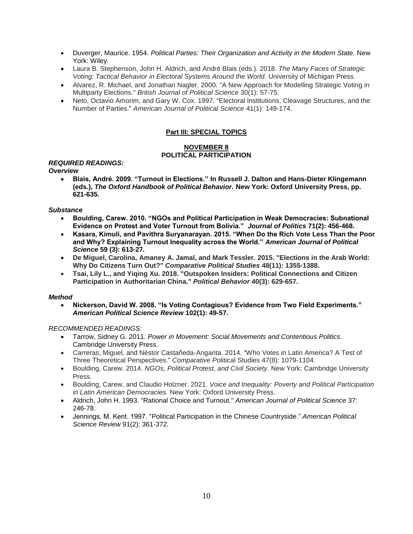- Duverger, Maurice. 1954. *Political Parties: Their Organization and Activity in the Modern State.* New York: Wiley.
- Laura B. Stephenson, John H. Aldrich, and André Blais (eds.). 2018. *The Many Faces of Strategic Voting: Tactical Behavior in Electoral Systems Around the World*. University of Michigan Press.
- Alvarez, R. Michael, and Jonathan Nagler. 2000. "A New Approach for Modelling Strategic Voting in Multiparty Elections." *British Journal of Political Science* 30(1): 57-75.
- Neto, Octavio Amorim, and Gary W. Cox. 1997. "Electoral Institutions, Cleavage Structures, and the Number of Parties." *American Journal of Political Science* 41(1): 149-174.

# **Part III: SPECIAL TOPICS**

# **NOVEMBER 8 POLITICAL PARTICIPATION**

# *REQUIRED READINGS:*

## *Overview*

 **Blais, André. 2009. "Turnout in Elections." In Russell J. Dalton and Hans-Dieter Klingemann (eds.),** *The Oxford Handbook of Political Behavior.* **New York: Oxford University Press, pp. 621-635.**

## *Substance*

- **Boulding, Carew. 2010. "NGOs and Political Participation in Weak Democracies: Subnational Evidence on Protest and Voter Turnout from Bolivia."** *Journal of Politics* **71(2): 456-468.**
- **Kasara, Kimuli, and Pavithra Suryanarayan. 2015. "When Do the Rich Vote Less Than the Poor and Why? Explaining Turnout Inequality across the World."** *American Journal of Political Science* **59 (3): 613-27.**
- **De Miguel, Carolina, Amaney A. Jamal, and Mark Tessler. 2015. "Elections in the Arab World: Why Do Citizens Turn Out?"** *Comparative Political Studies* **48(11): 1355-1388.**
- **Tsai, Lily L., and Yiqing Xu. 2018. "Outspoken Insiders: Political Connections and Citizen Participation in Authoritarian China."** *Political Behavior* **40(3): 629-657.**

# *Method*

 **Nickerson, David W. 2008. "Is Voting Contagious? Evidence from Two Field Experiments."**  *American Political Science Review* **102(1): 49-57.**

- Tarrow, Sidney G. 2011. *Power in Movement: Social Movements and Contentious Politics*. Cambridge University Press.
- Carreras, Miguel, and Néstor Castañeda-Angarita. 2014. "Who Votes in Latin America? A Test of Three Theoretical Perspectives." *Comparative P*olitical Studies 47(8): 1079-1104.
- Boulding, Carew. 2014. *NGOs, Political Protest, and Civil Society*. New York: Cambridge University Press.
- Boulding, Carew, and Claudio Holzner. 2021. *Voice and Inequality: Poverty and Political Participation in Latin American Democracies.* New York: Oxford University Press.
- Aldrich, John H. 1993. "Rational Choice and Turnout." *American Journal of Political Science* 37: 246-78.
- Jennings, M. Kent. 1997. "Political Participation in the Chinese Countryside." *American Political Science Review* 91(2): 361-372.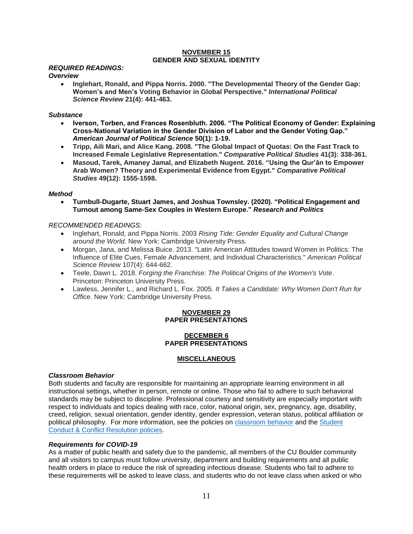#### **NOVEMBER 15 GENDER AND SEXUAL IDENTITY**

## *REQUIRED READINGS:*

#### *Overview*

 **Inglehart, Ronald, and Pippa Norris. 2000. "The Developmental Theory of the Gender Gap: Women's and Men's Voting Behavior in Global Perspective."** *International Political Science Review* **21(4): 441-463.**

#### *Substance*

- **Iverson, Torben, and Frances Rosenbluth. 2006. "The Political Economy of Gender: Explaining Cross-National Variation in the Gender Division of Labor and the Gender Voting Gap."**  *American Journal of Political Science* **50(1): 1-19.**
- **Tripp, Aili Mari, and Alice Kang. 2008. "The Global Impact of Quotas: On the Fast Track to Increased Female Legislative Representation."** *Comparative Political Studies* **41(3): 338-361.**
- **Masoud, Tarek, Amaney Jamal, and Elizabeth Nugent. 2016. "Using the Qur'ān to Empower Arab Women? Theory and Experimental Evidence from Egypt."** *Comparative Political Studies* **49(12): 1555-1598.**

#### *Method*

 **Turnbull-Dugarte, Stuart James, and Joshua Townsley. (2020). "Political Engagement and Turnout among Same-Sex Couples in Western Europe."** *Research and Politics*

#### *RECOMMENDED READINGS:*

- Inglehart, Ronald, and Pippa Norris. 2003 *Rising Tide: Gender Equality and Cultural Change around the World*. New York: Cambridge University Press.
- Morgan, Jana, and Melissa Buice. 2013. "Latin American Attitudes toward Women in Politics: The Influence of Elite Cues, Female Advancement, and Individual Characteristics." *American Political Science Review* 107(4): 644-662.
- Teele, Dawn L. 2018. *Forging the Franchise: The Political Origins of the Women's Vote*. Princeton: Princeton University Press.
- Lawless, Jennifer L., and Richard L. Fox. 2005. *It Takes a Candidate: Why Women Don't Run for Office*. New York: Cambridge University Press.

## **NOVEMBER 29 PAPER PRESENTATIONS**

#### **DECEMBER 6 PAPER PRESENTATIONS**

#### **MISCELLANEOUS**

#### *Classroom Behavior*

Both students and faculty are responsible for maintaining an appropriate learning environment in all instructional settings, whether in person, remote or online. Those who fail to adhere to such behavioral standards may be subject to discipline. Professional courtesy and sensitivity are especially important with respect to individuals and topics dealing with race, color, national origin, sex, pregnancy, age, disability, creed, religion, sexual orientation, gender identity, gender expression, veteran status, political affiliation or political philosophy. For more information, see the policies on [classroom behavior](http://www.colorado.edu/policies/student-classroom-and-course-related-behavior) and the [Student](https://www.colorado.edu/sccr/student-conduct)  [Conduct & Conflict Resolution policies.](https://www.colorado.edu/sccr/student-conduct)

#### *Requirements for COVID-19*

As a matter of public health and safety due to the pandemic, all members of the CU Boulder community and all visitors to campus must follow university, department and building requirements and all public health orders in place to reduce the risk of spreading infectious disease. Students who fail to adhere to these requirements will be asked to leave class, and students who do not leave class when asked or who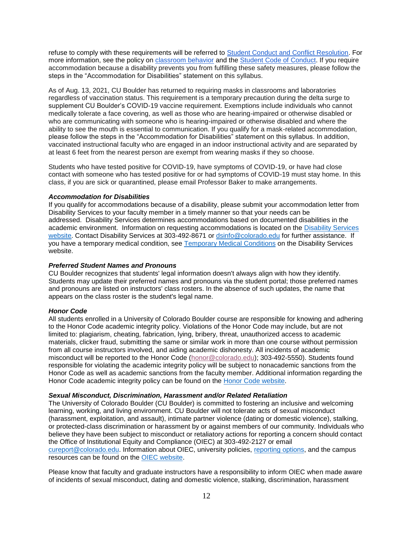refuse to comply with these requirements will be referred to [Student Conduct and Conflict Resolution.](https://www.colorado.edu/sccr/) For more information, see the policy on [classroom behavior](https://www.colorado.edu/policies/covid-19-health-and-safety-policy) and th[e](http://www.colorado.edu/osccr/) [Student Code of Conduct.](http://www.colorado.edu/osccr/) If you require accommodation because a disability prevents you from fulfilling these safety measures, please follow the steps in the "Accommodation for Disabilities" statement on this syllabus.

As of Aug. 13, 2021, CU Boulder has returned to requiring masks in classrooms and laboratories regardless of vaccination status. This requirement is a temporary precaution during the delta surge to supplement CU Boulder's COVID-19 vaccine requirement. Exemptions include individuals who cannot medically tolerate a face covering, as well as those who are hearing-impaired or otherwise disabled or who are communicating with someone who is hearing-impaired or otherwise disabled and where the ability to see the mouth is essential to communication. If you qualify for a mask-related accommodation, please follow the steps in the "Accommodation for Disabilities" statement on this syllabus. In addition, vaccinated instructional faculty who are engaged in an indoor instructional activity and are separated by at least 6 feet from the nearest person are exempt from wearing masks if they so choose.

Students who have tested positive for COVID-19, have symptoms of COVID-19, or have had close contact with someone who has tested positive for or had symptoms of COVID-19 must stay home. In this class, if you are sick or quarantined, please email Professor Baker to make arrangements.

#### *Accommodation for Disabilities*

If you qualify for accommodations because of a disability, please submit your accommodation letter from Disability Services to your faculty member in a timely manner so that your needs can be addressed. Disability Services determines accommodations based on documented disabilities in the academic environment. Information on requesting accommodations is located on the [Disability Services](https://www.colorado.edu/disabilityservices/)  [website.](https://www.colorado.edu/disabilityservices/) Contact Disability Services at 303-492-8671 or [dsinfo@colorado.edu](mailto:dsinfo@colorado.edu) for further assistance. If you have a temporary medical condition, see [Temporary Medical Conditions](http://www.colorado.edu/disabilityservices/students/temporary-medical-conditions) on the Disability Services website.

#### *Preferred Student Names and Pronouns*

CU Boulder recognizes that students' legal information doesn't always align with how they identify. Students may update their preferred names and pronouns via the student portal; those preferred names and pronouns are listed on instructors' class rosters. In the absence of such updates, the name that appears on the class roster is the student's legal name.

#### *Honor Code*

All students enrolled in a University of Colorado Boulder course are responsible for knowing and adhering to the Honor Code academic integrity policy. Violations of the Honor Code may include, but are not limited to: plagiarism, cheating, fabrication, lying, bribery, threat, unauthorized access to academic materials, clicker fraud, submitting the same or similar work in more than one course without permission from all course instructors involved, and aiding academic dishonesty. All incidents of academic misconduct will be reported to the Honor Code [\(honor@colorado.edu\)](mailto:honor@colorado.edu); 303-492-5550). Students found responsible for violating the academic integrity policy will be subject to nonacademic sanctions from the Honor Code as well as academic sanctions from the faculty member. Additional information regarding the Honor Code academic integrity policy can be found on the [Honor Code website.](https://www.colorado.edu/osccr/honor-code)

#### *Sexual Misconduct, Discrimination, Harassment and/or Related Retaliation*

The University of Colorado Boulder (CU Boulder) is committed to fostering an inclusive and welcoming learning, working, and living environment. CU Boulder will not tolerate acts of sexual misconduct (harassment, exploitation, and assault), intimate partner violence (dating or domestic violence), stalking, or protected-class discrimination or harassment by or against members of our community. Individuals who believe they have been subject to misconduct or retaliatory actions for reporting a concern should contact the Office of Institutional Equity and Compliance (OIEC) at 303-492-2127 or email [cureport@colorado.edu.](mailto:cureport@colorado.edu) Information about OIEC, university policies, [reporting](https://www.colorado.edu/oiec/reporting-resolutions/making-report) options, and the campus resources can be found on the [OIEC website.](http://www.colorado.edu/institutionalequity/)

Please know that faculty and graduate instructors have a responsibility to inform OIEC when made aware of incidents of sexual misconduct, dating and domestic violence, stalking, discrimination, harassment